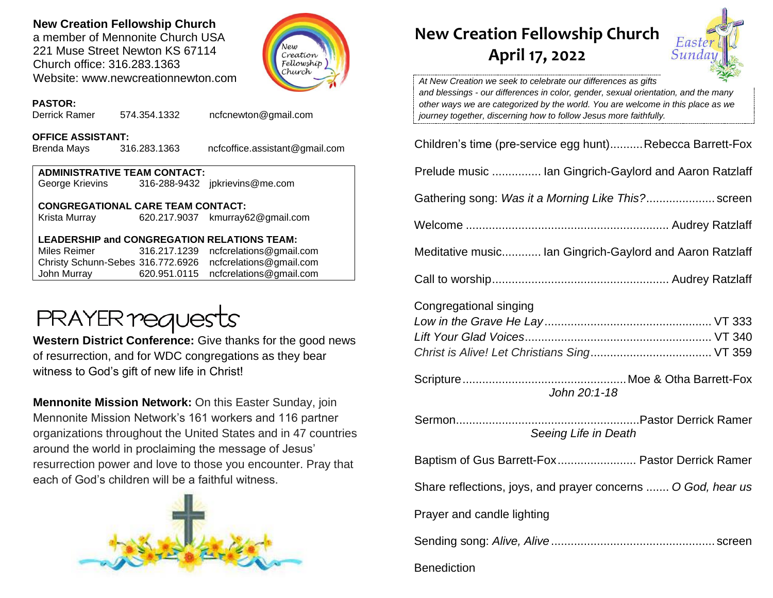# **New Creation Fellowship Church**

a member of Mennonite Church USA 221 Muse Street Newton KS 67114 Church office: 316.283.1363 Website: www.newcreationnewton.com



### **PASTOR:**

Derrick Ramer 574.354.1332 [ncfcnewton@gmail.com](mailto:ncfcnewton@gmail.com)

#### **OFFICE ASSISTANT:**

Brenda Mays 316.283.1363 ncfcoffice.assistant@gmail.com

| <b>ADMINISTRATIVE TEAM CONTACT:</b>      |  |                                  |  |  |  |  |
|------------------------------------------|--|----------------------------------|--|--|--|--|
| George Krievins                          |  | 316-288-9432 jpkrievins@me.com   |  |  |  |  |
|                                          |  |                                  |  |  |  |  |
| <b>CONGREGATIONAL CARE TEAM CONTACT:</b> |  |                                  |  |  |  |  |
|                                          |  |                                  |  |  |  |  |
| Krista Murray                            |  | 620.217.9037 kmurray62@gmail.com |  |  |  |  |

## **LEADERSHIP and CONGREGATION RELATIONS TEAM:**

Miles Reimer [316.217.1239](mailto:316.217.1239) [ncfcrelations@gmail.com](mailto:ncfcrelations@gmail.com) Christy Schunn-Sebes 316.772.6926 [ncfcrelations@gmail.com](mailto:ncfcrelations@gmail.com) John Murray 620.951.0115 [ncfcrelations@gmail.com](mailto:ncfcrelations@gmail.com)



**Western District Conference:** Give thanks for the good news of resurrection, and for WDC congregations as they bear witness to God's gift of new life in Christ!

**Mennonite Mission Network:** On this Easter Sunday, join Mennonite Mission Network's 161 workers and 116 partner organizations throughout the United States and in 47 countries around the world in proclaiming the message of Jesus' resurrection power and love to those you encounter. Pray that each of God's children will be a faithful witness.



# **New Creation Fellowship Church April 17, 2022**



*At New Creation we seek to celebrate our differences as gifts and blessings - our differences in color, gender, sexual orientation, and the many other ways we are categorized by the world. You are welcome in this place as we journey together, discerning how to follow Jesus more faithfully.*

| Children's time (pre-service egg hunt)Rebecca Barrett-Fox    |
|--------------------------------------------------------------|
| Prelude music  Ian Gingrich-Gaylord and Aaron Ratzlaff       |
| Gathering song: Was it a Morning Like This? screen           |
|                                                              |
| Meditative music Ian Gingrich-Gaylord and Aaron Ratzlaff     |
|                                                              |
| Congregational singing                                       |
| John 20:1-18                                                 |
| Pastor Derrick Ramer<br>Sermon<br>Seeing Life in Death       |
| Baptism of Gus Barrett-Fox Pastor Derrick Ramer              |
| Share reflections, joys, and prayer concerns  O God, hear us |
| Prayer and candle lighting                                   |
|                                                              |
| <b>Benediction</b>                                           |